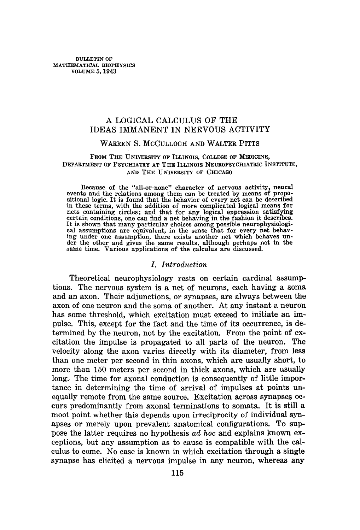# A LOGICAL CALCULUS OF THE IDEAS IMMANENT IN NERVOUS ACTIVITY

#### WARREN S. MCCULLOCH AND WALTER PITTS

#### FROM THE UNIVERSITY OF ILLINOIS, COLLEGE OF MEDICINE, DEPARTMENT OF PSYCHIATRY AT THE ILLINOIS NEUROPSYCHIATRIC INSTITUTE, AND THE UNIVERSITY OF CHICAGO

**Because of the "all-or-none" character of nervous activity, neural**  events and the relations among them can be treated by means of propositional logic. It is found that the behavior of every net can be described in these terms, with the addition of more complicated logical means **for**  nets containing circles; and **that for** any logical expression satisfying **certain** conditions, one can find a net behaving in the fashion it describes. It is shown that many particular choices among possible neurophysiological assumptions are equivalent, in the sense that for every net behaving under one assumption, there exists **another net** which behaves under the other and gives the same results, although perhaps not in the same time. Various applications of the calculus are discussed.

# *I. Introduction*

Theoretical neurophysiology rests on certain cardinal assumptions. The nervous system is a net of neurons, each having a soma and an axon. Their adjunctions, or synapses, are always between the axon of one neuron and the soma of another. At any instant a neuron has some threshold, which excitation must exceed to initiate an impulse. This, except for the fact and the time of its occurrence, is determined by the neuron, not by the excitation. From the point of excitation the impulse is propagated to all parts of the neuron. The velocity along the axon varies directly with its diameter, from less than one meter per second in thin axons, which are usually short, to more than 150 meters per second in thick axons, which are usually long. The time for axonal conduction is consequently of little importance in determining the time of arrival of impulses at points unequally remote from the same source. Excitation across synapses occurs predominantly from axonal terminations to somata. It is still a moot point whether this depends upon irreciprocity of individual synapses or merely upon prevalent anatomical configurations. To suppose the latter requires no hypothesis *ad hoc* and explains known exceptions, but any assumption as to cause is compatible with the calculus to come. No case is known in which excitation through a single synapse has elicited a nervous impulse in any neuron, whereas any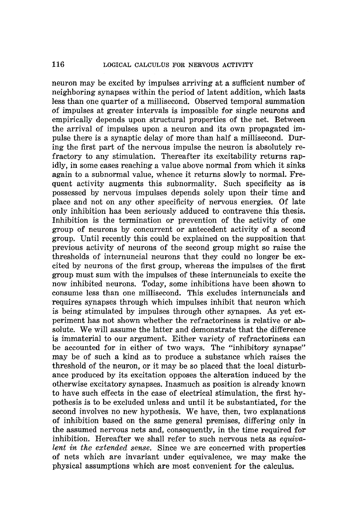neuron may be excited by impulses arriving at a sufficient number of neighboring synapses within the period of latent addition, which lasts less than one quarter of a millisecond. Observed temporal summation of impulses at greater intervals is impossible for single neurons and empirically depends upon structural properties of the net. Between the arrival of impulses upon a neuron and its own propagated impulse there is a synaptic delay of more than half a millisecond. During the first part of the nervous impulse the neuron is absolutely refractory to any stimulation. Thereafter its excitability returns rapidly, in some cases reaching a value above normal from which it sinks again to a subnormal value, whence it returns slowly to normal. Frequent activity augments this subnormality. Such specificity as is possessed by nervous impulses depends solely upon their time and place and not on any other specificity of nervous energies. Of late only inhibition has been seriously adduced to contravene this thesis. Inhibition is the termination or prevention of the activity of one group of neurons by concurrent or antecedent activity of a second group. Until recently this could be explained on the supposition that previous activity of neurons of the second group might so raise the thresholds of internuncial neurons that they could no longer be excited by neurons of the first group, whereas the impulses of the first group must sum with the impulses of these internuncials to excite the now inhibited neurons. Today, some inhibitions have been shown to consume less than one millisecond. This excludes internuncials and requires synapses through which impulses inhibit that neuron which is being stimulated by impulses through other synapses. As yet experiment has not shown whether the refractoriness is relative or absolute. We will assume the latter and demonstrate that the difference is immaterial to our argument. Either variety of refractoriness can be accounted for in either of two ways. The "inhibitory synapse" may be of such a kind as to produce a substance which raises the threshold of the neuron, or it may be so placed that the local disturbance produced by its excitation opposes the alteration induced by the otherwise excitatory synapses. Inasmuch as position is already known to have such effects in the case of electrical stimulation, the first hypothesis is to be excluded unless and until it be substantiated, for the second involves no new hypothesis. We have, then, two explanations of inhibition based on the same general premises, differing only in the assumed nervous nets and, consequently, in the time required for inhibition. Hereafter we shall refer to such nervous nets as *equivalent in the extended sense.* Since we are concerned with properties of nets which are invariant under equivalence, we may make the physical assumptions which are most convenient for the calculus.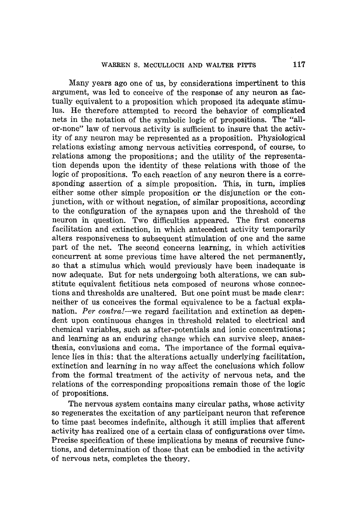Many years ago one of us, by considerations impertinent to this argument, was led to conceive of the response of any neuron as factually equivalent to a proposition which proposed its adequate stimulus. He therefore attempted to record the behavior of complicated nets in the notation of the symbolic logic of propositions. The "allor-none" law of nervous activity is sufficient to insure that the activity of any neuron may be represented as a proposition. Physiological relations existing among nervous activities correspond, of course, to relations among the propositions; and the utility of the representation depends upon the identity of these relations with those of the logic of propositions. To each reaction of any neuron there is a corresponding assertion of a simple proposition. This, in turn, implies either some other simple proposition or the disjunction or the conjunction, with or without negation, of similar propositions, according to the configuration of the synapses upon and the threshold of the neuron in question. Two difficulties appeared. The first concerns facilitation and extinction, in which antecedent activity temporarily alters responsiveness to subsequent stimulation of one and the same part of the net. The second concerns learning, in which activities concurrent at some previous time have altered the net permanently, so that a stimulus which would previously have been inadequate is now adequate. But for nets undergoing both alterations, we can substitute equivalent fictitious nets composed of neurons whose connections and thresholds are unaltered. But one point must be made clear: neither of us conceives the formal equivalence to be a factual explanation. *Per contra!*—we regard facilitation and extinction as dependent upon continuous changes in threshold related to electrical and chemical variables, such as after-potentials and ionic concentrations; and learning as an enduring change which can survive sleep, anaesthesia, convlusions and coma. The importance of the formal equivalence lies in this: that the alterations actually underlying facilitation, extinction and learning in no way affect the conclusions which follow from the formal treatment of the activity of nervous nets, and the relations of the corresponding propositions remain those of the logic of propositions.

The nervous system contains many circular paths, whose activity so regenerates the excitation of any participant neuron that reference to time past becomes indefinite, although it still implies that afferent activity has realized one of a certain class of configurations over time. Precise specification of these implications by means of recursive functions, and determination of those that can be embodied in the activity of nervous nets, completes the theory.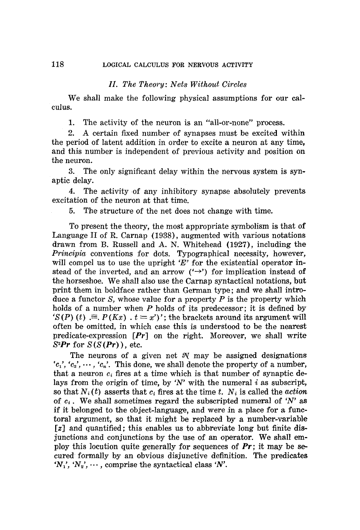# *H. The Theory: Nets Without Circles*

We shall make the following physical assumptions for our calculus.

1. The activity of the neuron is an "all-or-none" process.

2. A certain fixed number of synapses must be excited within the period of latent addition in order to excite a neuron at any time, and this number is independent of previous activity and position on the neuron.

3. The only significant delay within the nervous system is synaptic delay.

4. The activity of any inhibitory synapse absolutely prevents excitation of the neuron at that time.

5. The structure of the net does not change with time.

To present the theory, the most appropriate symbolism is that of Language II of R. Carnap (1938), augmented with various notations drawn from B. Russell and A. N. Whitehead (1927), including the *Principia* conventions for dots. Typographical necessity, however, will compel us to use the upright *'E'* for the existential operator instead of the inverted, and an arrow  $(4\rightarrow)$  for implication instead of the horseshoe. We shall also use the Carnap syntactical notations, but print them in boldface rather than German type; and we shall introduce a functor  $S$ , whose value for a property  $P$  is the property which holds of a number when  $P$  holds of its predecessor; it is defined by  $(S(P)$  (t)  $\equiv P(Kx)$   $\ldots$   $t = x'$ )'; the brackets around its argument will often be omitted, in which case this is understood to be the nearest predicate-expression [Pr] on the right. Moreover, we shall write  $S^2$ **Pr** for  $S(S(Pr))$ , etc.

The neurons of a given net  $\mathcal N$  may be assigned designations  $(c_1, c_2, \dots, c_n)$ . This done, we shall denote the property of a number, that a neuron  $c_i$  fires at a time which is that number of synaptic delays from the origin of time, by 'N' with the numeral  $i$  as subscript, so that  $N_i(t)$  asserts that  $c_i$  fires at the time t.  $N_i$  is called the *action* of  $c_i$ . We shall sometimes regard the subscripted numeral of *'N'* as if it belonged to the object-language, and were in a place for a functoral argument, so that it might be replaced by a number-variable [z] and quantified; this enables us to abbreviate long but finite disjunctions and conjunctions by the use of an operator. We shall employ this locution quite generally for sequences of *Pr;* it may be secured formally by an obvious disjunctive definition. The predicates  $'N_1', 'N_2', \cdots$ , comprise the syntactical class 'N'.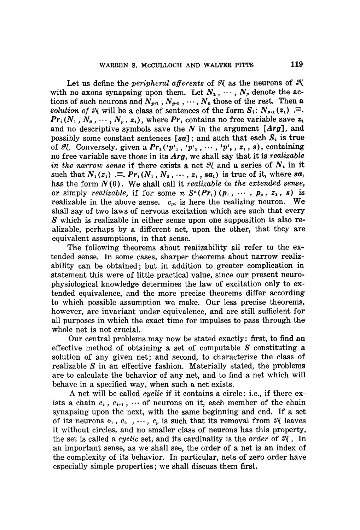Let us define the *peripheral afferents* of  $\mathcal{N}$  as the neurons of  $\mathcal{N}$ with no axons synapsing upon them. Let  $N_1, \cdots, N_p$  denote the actions of such neurons and  $N_{p+1}$ ,  $N_{p+2}$ , ...,  $N_n$  those of the rest. Then a *solution of*  $\mathcal{R}$  will be a class of sentences of the form  $S_i$ :  $N_{p+1}(z_1)$ .  $Pr_i(N_1, N_2, \dots, N_p, z_1)$ , where  $Pr_i$  contains no free variable save  $z_1$ and no descriptive symbols save the N in the argument  $[Arg]$ , and possibly some constant sentences  $[sa]$ ; and such that each  $S_i$  is true of  $\mathcal{R}$ . Conversely, given a  $Pr_1({}^1p^1, {}^1p^1, {}^1p^1, \ldots, {}^1p^1, z_1, s)$ , containing no free variable save those in its *Arg,* we shall say that it is *realizable in the narrow sense* if there exists a net  $\mathcal N$  and a series of  $N_i$  in it such that  $N_1(z_1) \equiv Pr_1(N_1, N_2, \cdots, z_1, sa_1)$  is true of it, where  $sa_1$ has the form N(0). We shall call it *realizable in the extended sense,*  or simply *realizable*, if for some *n*  $S^*(Pr_1)(p_1, \cdots, p_p, z_1, s)$  is realizable in the above sense,  $c_{pi}$  is here the realizing neuron. We shall say of two laws of nervous excitation which are such that every S which is realizable in either sense upon one supposition is also realizable, perhaps by a different net, upon the other, that they are equivalent assumptions, in that sense.

The following theorems about realizability all refer to the extended sense. In some cases, sharper theorems about narrow realizability can be obtained; but in addition to greater complication in statement this were of little practical value, since our present neurophysiological knowledge determines the law of excitation only to extended equivalence, and the more precise theorems differ according to which possible assumption we make. Our less precise theorems, however, are invariant under equivalence, and are still sufficient for all purposes in which the exact time for impulses to pass through the whole net is not crucial.

Our central problems may now be stated exactly: first, to find an effective method of obtaining a set of computable S constituting a solution of any given net; and second, to characterize the class of realizable  $S$  in an effective fashion. Materially stated, the problems are to calculate the behavior of any net, and to find a net which will behave in a specified way, when such a net exists.

A net will be called *cyclic* if it contains a circle: i.e., if there exists a chain  $c_i$ ,  $c_{i+1}$ ,  $\cdots$  of neurons on it, each member of the chain synapsing upon the next, with the same beginning and end. If a set of its neurons  $c_1, c_2, \dots, c_p$  is such that its removal from  $\mathcal N$  leaves it without circles, and no smaller class of neurons has this property, the set is called a *cyclic* set, and its cardinality is the *order* of  $\mathcal{N}$ . In an important sense, as we shall see, the order of a net is an index of the complexity of its behavior. In particular, nets of zero order have especially simple properties; we shall discuss them first.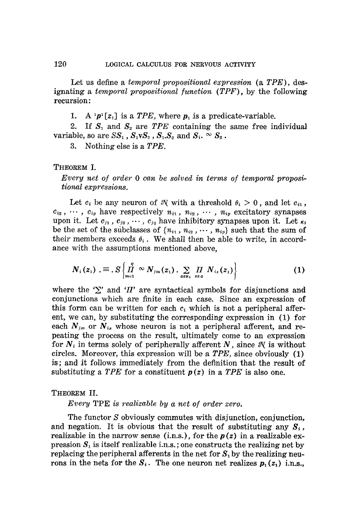Let us define a *temporal propositional expression* (a *TPE),* designating a *temporal propositional function (TPF),* by the following recursion:

1. A  $^{1}P^{1}[z_{1}]$  is a *TPE*, where  $p_{1}$  is a predicate-variable.

2. If  $S_1$  and  $S_2$  are *TPE* containing the same free individual variable, so are  $SS_1$ ,  $S_1vS_2$ ,  $S_1.S_2$  and  $S_i$ .  $\infty$   $S_2$ .

3. Nothing else is a *TPE.* 

**THEOREM I.** 

Every net of order 0 can be solved in terms of temporal proposi*tional expressions.* 

Let  $c_i$  be any neuron of  $\mathcal{N}$  with a threshold  $\theta_i > 0$ , and let  $c_{i_1}$ ,  $c_{i_2}, \cdots, c_{i_p}$  have respectively  $n_{i_1}, n_{i_2}, \cdots, n_{i_p}$  excitatory synapses upon it. Let  $c_{i1}$ ,  $c_{i2}$ ,  $\cdots$ ,  $c_{iq}$  have inhibitory synapses upon it. Let  $\kappa_i$ be the set of the subclasses of  $\{n_{i_1}, n_{i_2}, \cdots, n_{ip}\}$  such that the sum of their members exceeds  $\theta_i$ . We shall then be able to write, in accordance with the assumptions mentioned above,

$$
N_i(z_1) \ldots \equiv S \left\{ \prod_{m=1}^q \infty N_{jm}(z_1) \ldots \prod_{a \in \kappa_i} \prod_{s \in a} N_{is}(z_1) \right\} \qquad (1)
$$

where the ' $\Sigma'$  and 'II' are syntactical symbols for disjunctions and conjunctions which are finite in each case. Since an expression of this form can be written for each  $c_i$  which is not a peripheral afferent, we can, by substituting the corresponding expression in (1) for each  $N_{in}$  or  $N_{is}$  whose neuron is not a peripheral afferent, and repeating the process on the result, ultimately come to an expression for  $N_i$  in terms solely of peripherally afferent N, since  $\mathcal{R}$  is without circles. Moreover, this expression will be a *TPE,* since obviously (1) is; and it follows immediately from the definition that the result of substituting a *TPE* for a constituent  $p(z)$  in a *TPE* is also one.

# **THEOREM** II.

*Every* TPE *is realizable by a net of order zero.* 

The functor S obviously commutes with disjunction, conjunction, and negation. It is obvious that the result of substituting any  $S_i$ , realizable in the narrow sense (i.n.s.), for the  $p(z)$  in a realizable expression  $S_1$  is itself realizable i.n.s.; one constructs the realizing net by replacing the peripheral afferents in the net for  $S<sub>1</sub>$  by the realizing neurons in the nets for the  $S_i$ . The one neuron net realizes  $p_1(z_1)$  i.n.s.,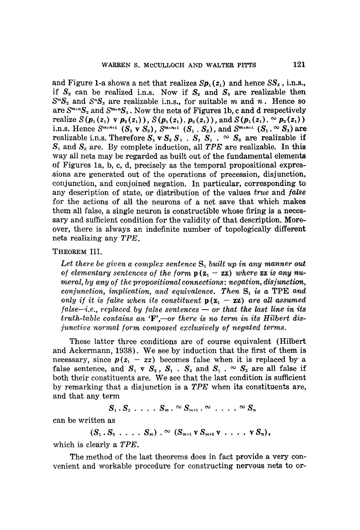and Figure 1-a shows a net that realizes  $Sp<sub>1</sub>(z<sub>1</sub>)$  and hence  $SS<sub>2</sub>$ , i.n.s., if  $S_2$  can be realized i.n.s. Now if  $S_2$  and  $S_3$  are realizable then  $S^mS_2$  and  $S^nS_3$  are realizable i.n.s., for suitable m and n. Hence so are  $S^{m+n}S_2$  and  $S^{m+n}S_3$ . Now the nets of Figures 1b, c and d respectively realize  $S(p_1(z_1) \vee p_2(z_1))$ ,  $S(p_1(z_1), p_2(z_1))$ , and  $S(p_1(z_1), \infty p_2(z_1))$ i.n.s. Hence  $S^{m+n+1}$   $(S_1 \vee S_2)$ ,  $S^{m+n+1}$   $(S_1 \cdot S_2)$ , and  $S^{m+n+1}$   $(S_1 \cdot S_2)$  are realizable i.n.s. Therefore  $S_1 \vee S_2 S_1$ .  $S_2 S_1$ .  $\sim S_2$  are realizable if  $S_1$  and  $S_2$  are. By complete induction, all *TPE* are realizable. In this way all nets may be regarded as built out of the fundamental elements of Figures la, b, c, d, precisely as the temporal propositional expressions are generated out of the operations of precession, disjunction, conjunction, and conjained negation. In particular, corresponding to any description of state, or distribution of the values *true* and *false*  for the actions of all the neurons of a net save that which makes them all false, a single neuron is constructible whose firing is a necessary and sufficient condition for the validity of that description. Moreover, there is always an indefinite number of topologically different nets realizing any *TPE.* 

# THEOREM III.

Let there be given a complex sentence  $S_i$  built up in any manner out *of elementary sentences of the form*  $p(z_1 - zz)$  where **zz** is any nu*meral, by any of the propositional connections: negation, dis]unction, conjunction, implication, and equivalence. Then*  $S_1$  is a TPE and *only if it is false when its constituent*  $p(z_1 - zz)$  *are all assumed false--i.e., replaced by false sentences -- or that the last line in its truth-table contains an 'F',--or there is no term in its Hilbert dis- ]unctive normal form composed exclnsively of negated terms.* 

These latter three conditions are of course equivalent (Hilbert and Ackermann, 1938). We see by induction that the first of them is necessary, since  $p(z_1 - zz)$  becomes false when it is replaced by a false sentence, and  $S_1 \times S_2$ ,  $S_1$ .  $S_2$  and  $S_1$ .  $\infty$   $S_2$  are all false if both their constituents are. We see that the last condition is sufficient by remarking that a disjunction is a *TPE* when its constituents are, and that any term

$$
S_1 \cdot S_2 \cdot \ldots \cdot S_m \cdot \sim S_{m+1} \cdot \sim \ldots \cdot \sim S_n
$$

can be written as

 $(S_1 \cdot S_2 \cdot \ldots \cdot S_m) \cdot \sim (S_{m+1} \cdot S_{m+2} \cdot \ldots \cdot S_m),$ 

which is clearly a *TPE.* 

The method of the last theorems does in fact provide a very convenient and workable procedure for constructing nervous nets to or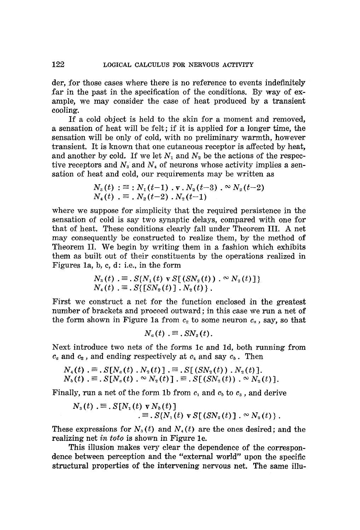der, for those cases where there is no reference to events indefinitely far in the past in the specification of the conditions. By way of example, we may consider the case of heat produced by a transient cooling.

If a cold object is held to the skin for a moment and removed, a sensation of heat will be felt; if it is applied for a longer time, the sensation will be only of cold, with no preliminary warmth, however transient. It is known that one cutaneous receptor is affected by heat, and another by cold. If we let  $N_1$  and  $N_2$  be the actions of the respective receptors and  $N_3$  and  $N_4$  of neurons whose activity implies a sensation of heat and cold, our requirements may be written as

$$
N_{s}(t) := N_{1}(t-1) \cdot \mathbf{v} \cdot N_{2}(t-3) \cdot N_{2}(t-2) N_{4}(t) := N_{2}(t-2) \cdot N_{2}(t-1)
$$

where we suppose for simplicity that the required persistence in the sensation of cold is say two syaaptic delays, compared with one for that of heat. These conditions clearly fall under Theorem III. A net may consequently be constructed to realize them, by the method of Theorem II. We begin by writing them in a fashion which exhibits them as built out of their constituents by the operations realized in Figures la, b, c, d: i.e., in the form

$$
N_{3}(t) := S\{N_{1}(t) \times S[(SN_{2}(t)) \cdot \alpha N_{2}(t)]\}
$$
  
\n
$$
N_{4}(t) := S\{[SN_{2}(t)] \cdot N_{2}(t)\}.
$$

First we construct a net for the function enclosed in the greatest number of brackets and proceed outward ; in this case we run a net of the form shown in Figure 1a from  $c<sub>2</sub>$  to some neuron  $c<sub>a</sub>$ , say, so that

$$
N_a(t) \, . \equiv . \, SN_a(t).
$$

Next introduce two nets of the forms lc and ld, both running from  $c_a$  and  $c_a$ , and ending respectively at  $c_4$  and say  $c_b$ . Then

$$
N_4(t) := S[N_4(t) \cdot N_2(t)] := S[(SN_2(t)) \cdot N_2(t)].
$$
  
\n
$$
N_b(t) := S[N_4(t) \cdot N_2(t)] := S[(SN_2(t)) \cdot N_2(t)].
$$

Finally, run a net of the form 1b from  $c_1$  and  $c_b$  to  $c_3$ , and derive

$$
N_{s}(t) := S[N_{1}(t) \mathbf{v} N_{b}(t)]
$$
  
=  $S\{N_{1}(t) \mathbf{v} S[(S N_{2}(t)] \cdot N_{2}(t)\}.$ 

These expressions for  $N_a(t)$  and  $N_a(t)$  are the ones desired; and the realizing net *in toto* is shown in Figure le.

This illusion makes very clear the dependence of the correspondence between perception and the "external world" upon the specific structural properties of the intervening nervous net. The same illu-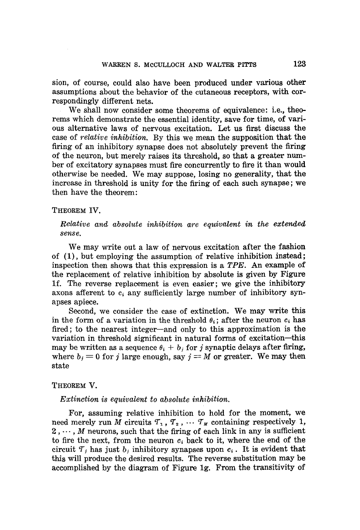sion, of course, could also have been produced under various other assumptions about the behavior of the cutaneous receptors, with correspondingly different nets.

We shall now consider some theorems of equivalence: i.e., theorems which demonstrate the essential identity, save for time, of various alternative laws of nervous excitation. Let us first discuss the case of *relative inhibition.* By this we mean the supposition that the firing of an inhibitory synapse does not absolutely prevent the firing of the neuron, but merely raises its threshold, so that a greater number of excitatory synapses must fire concurrently to fire it than would otherwise be needed. We may suppose, losing no generality, that the increase in threshold is unity for the firing of each such synapse; we then have the theorem:

### THEOREM IV.

*Relative and absolute inhibition are equivalent in the extended sense.* 

We may write out a law of nervous excitation after the fashion of (1), but employing the assumption of relative inhibition instead; inspection then shows that this expression is a *TPE.* An example of the replacement of relative inhibition by absolute is given by Figure lf. The reverse replacement is even easier; we give the inhibitory axons afferent to  $c_i$  any sufficiently large number of inhibitory synapses apiece.

Second, we consider the case of extinction. We may write this in the form of a variation in the threshold  $\theta_i$ ; after the neuron  $c_i$  has fired; to the nearest integer--and only to this approximation is the variation in threshold significant in natural forms of excitation--this may be written as a sequence  $\theta_i + b_j$  for j synaptic delays after firing, where  $b_i = 0$  for j large enough, say  $i = M$  or greater. We may then state

#### THEOREM **V.**

# *Extinction is equivalent to absolute inhibition.*

For, assuming relative inhibition to hold for the moment, we need merely run M circuits  $\mathcal{T}_1$ ,  $\mathcal{T}_2$ , ...  $\mathcal{T}_M$  containing respectively 1,  $2, \dots, M$  neurons, such that the firing of each link in any is sufficient to fire the next, from the neuron  $c_i$  back to it, where the end of the circuit  $\tau_j$  has just  $b_j$  inhibitory synapses upon  $c_i$ . It is evident that this will produce the desired results. The reverse substitution may be accomplished by the diagram of Figure lg. From the transitivity of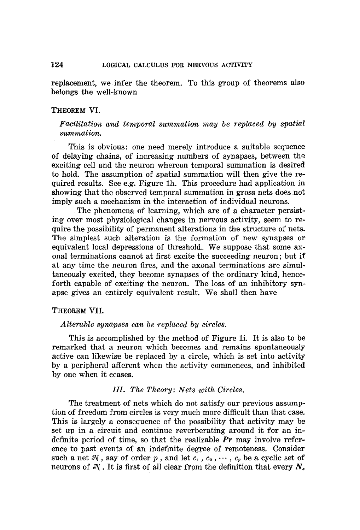replacement, we infer the theorem. To this group of theorems also belongs the well-known

# **THEOREM VI.**

*Facilitation and temporal summation may be replaced by spatial summation.* 

This is obvious: one need merely introduce a suitable sequence of delaying chains, of increasing numbers of synapses, between the exciting cell and the neuron whereon temporal summation is desired to hold. The assumption of spatial summation will then give the required results. See e.g. Figure 1h. This procedure had application in showing that the observed temporal summation in gross nets does not imply such a mechanism in the interaction of individual neurons.

The phenomena of learning, which are of a character persisting over most physiological changes in nervous activity, seem to require the possibility of permanent alterations in the structure of nets. The simplest such alteration is the formation of new synapses or equivalent local depressions of threshold. We suppose that some axonal terminations cannot at first excite the succeeding neuron; but if at any time the neuron fires, and the axonal terminations are simultaneously excited, they become synapses of the ordinary kind, henceforth capable of exciting the neuron. The loss of an inhibitory synapse gives an entirely equivalent result. We shall then have

# **THEOREM** VII.

#### *Alterable synapses can be replaced by circles.*

This is accomplished by the method of Figure li. It is also to be remarked that a neuron which becomes and remains spontaneously active can likewise be replaced by a circle, which is set into activity by a peripheral afferent when the activity commences, and inhibited by one when it ceases.

# *IH. The Theory: Nets with Circles.*

The treatment of nets which do not satisfy our previous assumption of freedom from circles is very much more difficult than that case. This is largely a consequence of the possibility that activity may be set up in a circuit and continue reverberating around it for an indefinite period of time, so that the realizable  $Pr$  may involve reference to past events of an indefinite degree of remoteness. Consider such a net  $\mathcal N$ , say of order p, and let  $c_1, c_2, \cdots, c_p$  be a cyclic set of neurons of  $\mathcal{N}$ . It is first of all clear from the definition that every  $N_s$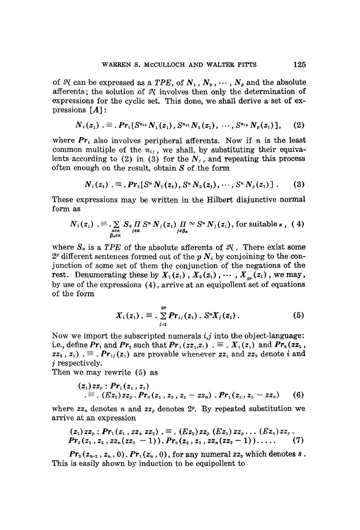of  $\mathcal{N}$  can be expressed as a *TPE*, of  $N_1$ ,  $N_2$ ,  $\cdots$ ,  $N_p$  and the absolute afferents; the solution of  $\mathcal N$  involves then only the determination of expressions for the cyclic set. This done, we shall derive a set of expressions  $[A]$ :

$$
N_i(z_1) := Pr_i[S^{n_{i1}}N_1(z_1), S^{n_{i2}}N_2(z_1), \cdots, S^{n_{ip}}N_p(z_1)], \quad (2)
$$

where  $Pr_i$  also involves peripheral afferents. Now if n is the least common multiple of the  $n_{ij}$ , we shall, by substituting their equivalents according to (2) in (3) for the  $N_i$ , and repeating this process often enough on the result, obtain  $S$  of the form

$$
N_i(z_1) := Pr_1[S^n N_1(z_1), S^n N_2(z_1), \cdots, S^n N_p(z_1)] . \qquad (3)
$$

These expressions may be written in the Hilbert disjunctive normal form as

$$
N_i(z_1) := \sum_{\substack{a\in \kappa \\ \beta_a\in \kappa}} S_a \prod_{j\in \kappa} S^m N_j(z_1) \prod_{j\in \beta_a} \infty S^n N_j(z_1)
$$
, for suitable  $\kappa$ , (4)

where  $S_a$  is a *TPE* of the absolute afferents of  $\mathcal{N}$ . There exist some  $2^p$  different sentences formed out of the p  $N_i$  by conjoining to the conjunction of some set of them the conjunction of the negations of the rest. Denumerating these by  $X_1(z_1)$ ,  $X_2(z_1)$ ,  $\cdots$ ,  $X_{n}(z_1)$ , we may, by use of the expresaions (4), arrive at an equipollent set of equations of the form

$$
X_i(z_1) . \equiv . \sum_{j=1}^{2^p} Pr_{ij}(z_1) . S^n X_j(z_1) . \qquad (5)
$$

Now we import the subscripted numerals *i,j* into the object-language: i.e., define  $Pr_1$  and  $Pr_2$  such that  $Pr_1(zz_1,z_1)$ .  $\equiv$  .  $X_i(z_1)$  and  $Pr_2(zz_1, z_2)$  $zz_2, z_1$ ).  $\equiv$ .  $Pr_{ii}(z_1)$  are provable whenever  $zz_1$  and  $zz_2$  denote i and j respectively.

Then we may rewrite (5) as

$$
(z_1)zz_0: Pr_1(z_1, z_3) \equiv . (Ez_2)zz_0. Pr_2(z_1, z_2, z_3 - zz_n) . Pr_1(z_2, z_3 - zz_n)
$$
 (6)

where  $zz_n$  denotes n and  $zz_p$  denotes  $2^p$ . By repeated substitution we arrive at an expression

$$
(z_1)zz_1: Pr_1(z_1, zz_2, zz_2): \equiv . (Ez_2)zz_2 (Ez_3)zz_2 ... (Ez_n)zz_n.
$$
  
\n
$$
Pr_2(z_1, z_2, zz_n (zz_2 - 1)). Pr_2(z_2, z_3, zz_n (zz_2 - 1)). \ldots
$$
 (7)

 $Pr_2(z_{n-1}, z_n, 0)$ .  $Pr_1(z_n, 0)$ , for any numeral  $zz_2$  which denotes s. This is easily shown by induction to be equipollent to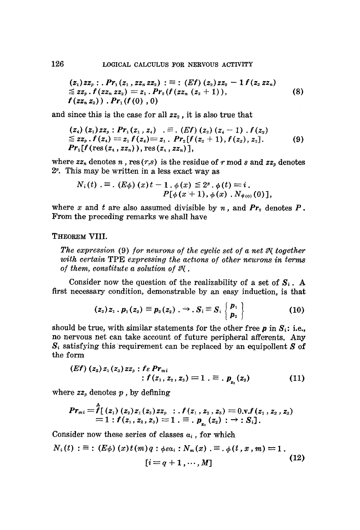$$
(z_1)zz_p: . Pr_1(z_1, zz_nzz_2): \equiv: (Ef)(z_2)zz_2 - 1f(z_2zz_n) \n\leq zz_p. f(zz_n zz_2) = z_1. Pr_2(f(zz_n (z_2 + 1)),\nf(zz_n z_2)) . Pr_1(f(0), 0)
$$
\n(8)

and since this is the case for all  $zz_2$ , it is also true that

$$
(z_4) (z_1) zz_p : Pr_1(z_1, z_4) = (Ef) (z_2) (z_4 - 1) . f(z_2)
$$
  
\n
$$
\leqq zz_p . f(z_4) = z_1 f(z_4) = z_1 . Pr_2[f(z_2 + 1), f(z_2), z_2].
$$
  
\n
$$
Pr_1[f(\text{res}(z_4, zz_n)), \text{res}(z_4, zz_n)],
$$
\n(9)

where  $zz_n$  denotes n, res  $(r,s)$  is the residue of r mod s and  $zz_p$  denotes  $2<sup>p</sup>$ . This may be written in a less exact way as

$$
N_i(t) := (E_{\phi})(x)t - 1, \phi(x) \leq 2^p, \phi(t) = i.
$$
  
 
$$
P[\phi(x+1), \phi(x), N_{\phi(0)}(0)],
$$

where x and t are also assumed divisible by  $n$ , and  $Pr_2$  denotes  $P$ . From the preceding remarks we shall have

# **THEOREM VIII.**

*The expression* (9) *for neurons of the cyclic set of a net*  $\mathbb{N}$  *together with certain* TPE *expressing the actwns of other neurons in terms of them, constitute a solution of*  $\mathcal{N}$ .

Consider now the question of the realizability of a set of  $S_i$ . A first necessary condition, demonstrable by an easy induction, is that

$$
(z_2) z_1 \cdot p_1(z_2) \equiv p_2(z_2) \cdot \rightarrow \cdot S_i \equiv S_i \begin{Bmatrix} p_1 \\ p_2 \end{Bmatrix}
$$
 (10)

should be true, with similar statements for the other free  $p$  in  $S_i$ : i.e., no nervous net can take account of future peripheral afferents. Any  $S_i$  satisfying this requirement can be replaced by an equipollent S of the form

(Ef) 
$$
(z_2) z_1(z_3) z z_p : f \in Pr_{mi}
$$
  
  $: f(z_1, z_2, z_3) = 1 = . \, p_{r}(z_2)$  (11)

where  $zz_p$  denotes  $p$ , by defining

A

$$
Pr_{mi} = \tilde{f}[(z_1)(z_2)z_1(z_3)zz_9 : . \ f(z_1, z_2, z_3) = 0 \text{.} \ y \text{.} \ f(z_1, z_2, z_3) = 1 : f(z_1, z_2, z_3) = 1 : . = . p_{z_1}(z_2) : \rightarrow : S_i].
$$

Consider now these series of classes  $a_i$ , for which

$$
N_i(t) :=: (E\phi)(x)t(m)q : \phi\epsilon\alpha_i : N_m(x) := \phi(t, x, m) = 1.
$$
  
[*i* = *q* + 1, ..., *M*] (12)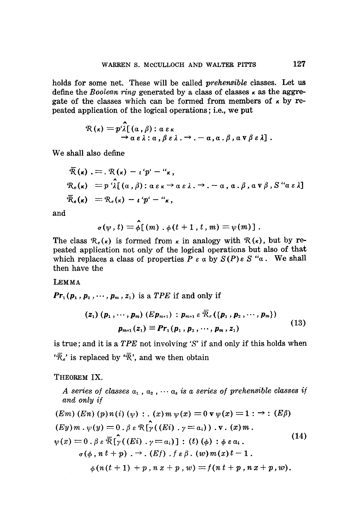holds for some net. These will be called *prehensible* classes. Let us define the *Boolean ring* generated by a class of classes  $\kappa$  as the aggregate of the classes which can be formed from members of  $\kappa$  by repeated application of the logical operations; i.e., we put

$$
\mathcal{R}(\kappa) = p' \lambda [(\alpha, \beta) : \alpha \varepsilon \kappa \rightarrow \alpha \varepsilon \lambda : \alpha, \beta \varepsilon \lambda. \rightarrow .-\alpha, \alpha. \beta, \alpha \mathbf{v} \beta \varepsilon \lambda].
$$

We shall also define

 $\lambda$ 

$$
\begin{aligned}\n\overline{\mathcal{R}}(\kappa) \cdot &= \mathcal{R}(\kappa) - \iota' p' - \iota' \kappa, \\
\mathcal{R}_e(\kappa) \quad &= p \, \hat{\lambda} \big[ (\alpha, \beta) : \alpha \, \varepsilon \kappa \to \alpha \, \varepsilon \, \lambda \, \to \, - \, \alpha \, , \, \alpha \cdot \beta \, , \, \alpha \, \mathbf{v} \, \beta \, , \, S \, \iota' \alpha \, \varepsilon \, \lambda \big] \\
\overline{\mathcal{R}}_e(\kappa) \quad &= \mathcal{R}_e(\kappa) - \iota' p' - \iota' \kappa,\n\end{aligned}
$$

and

$$
\sigma(\psi,t)=\widehat{\phi}[(m)\cdot\phi(t+1,t,m)=\psi(m)].
$$

The class  $\mathcal{R}_{\epsilon}(\kappa)$  is formed from  $\kappa$  in analogy with  $\mathcal{R}(\kappa)$ , but by repeated application not only of the logical operations but also of that which replaces a class of properties P  $\varepsilon \alpha$  by  $S(P) \varepsilon S$  "a. We shall then have the

### **LEMMA**

 $Pr_1(p_1, p_2, \dots, p_m, z_1)$  is a *TPE* if and only if

 $\overline{\phantom{a}}$ 

$$
(z_1) (p_1, \cdots, p_m) (Ep_{m+1}) : p_{m+1} \varepsilon \overline{\mathcal{R}}_e (\{p_1, p_2, \cdots, p_m\})
$$
  

$$
p_{m+1}(z_1) \equiv Pr_1(p_1, p_2, \cdots, p_m, z_1)
$$
 (13)

is true ; and it is a *TPE* not involving *'S'* if and only if this holds when  $\overline{\mathcal{R}}_{e}$  is replaced by  $\overline{\mathcal{R}}$ , and we then obtain

THEOREM IX.

A series of classes  $a_1$ ,  $a_2$ ,  $\cdots$   $a_s$  is a series of prehensible classes if *and only if* 

$$
(Em) (En) (p) n(i) (\psi) :.(x) m \psi(x) = 0 \mathbf{v} \psi(x) = 1 : \rightarrow : (E\beta)
$$
  
\n
$$
(Ey) m. \psi(y) = 0. \beta \varepsilon \mathcal{R}[\gamma((Ei) . \gamma = \alpha_i)) . \mathbf{v}. (x) m.
$$
  
\n
$$
\psi(x) = 0. \beta \varepsilon \overline{\mathcal{R}}[\gamma((Ei) . \gamma = \alpha_i)] : (t) (\phi) : \phi \varepsilon \alpha_i.
$$
  
\n
$$
\sigma(\phi, n t + p) . \rightarrow . (Ef) . f \varepsilon \beta. (w) m(x) t - 1.
$$
  
\n
$$
\phi(n(t+1) + p, n x + p, w) = f(n t + p, n x + p, w).
$$
\n
$$
(14)
$$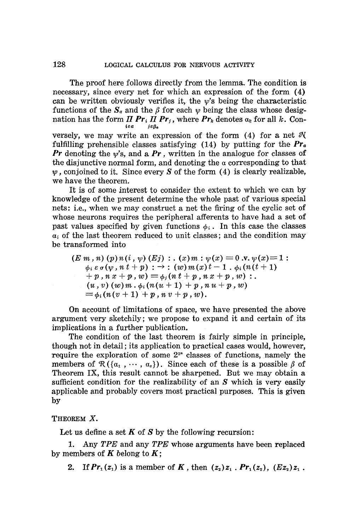The proof here follows directly from the lemma. The condition is necessary, since every net for which an expression of the form (4) can be written obviously verifies it, the  $\psi$ 's being the characteristic functions of the  $S_a$  and the  $\beta$  for each  $\psi$  being the class whose designation has the form  $\prod_{i \in a} Pr_i \prod_{j \in \beta_a} Pr_j$ , where  $Pr_k$  denotes  $\alpha_k$  for all k. Con $j\epsilon\beta_a$ 

versely, we may write an expression of the form (4) for a net  $\mathcal{N}$ fulfilling prehensible classes satisfying (14) by putting for the  $Pr_a$ *Pr* denoting the  $\psi$ 's, and a *Pr*, written in the analogue for classes of the disjunctive normal form, and denoting the  $\alpha$  corresponding to that  $\psi$ , conjoined to it. Since every S of the form (4) is clearly realizable, we have the theorem.

It is of some interest to consider the extent to which we can by knowledge of the present determine the whole past of various special nets: i.e., when we may construct a net the firing of the cyclic set of whose neurons requires the peripheral afferents to have had a set of past values specified by given functions  $\phi_i$ . In this case the classes  $\alpha_i$  of the last theorem reduced to unit classes; and the condition may be transformed into

$$
(E m, n) (p) n (i, \psi) (E j) :.(x) m : \psi(x) = 0 \cdot \nabla \cdot \psi(x) = 1 : \n\phi_i \varepsilon \sigma(\psi, n t + p) : \rightarrow : (w) m(x) t - 1 \cdot \phi_i(n(t + 1) \n+ p, n x + p, w) = \phi_j(n t + p, n x + p, w) : \n(u, v) (w) m \cdot \phi_i(n(u + 1) + p, n u + p, w) \n= \phi_i(n(v + 1) + p, n v + p, w).
$$

On account of limitations of space, we have presented the above argument very sketchily; we propose to expand it and certain of its implications in a further publication.

The condition of the last theorem is fairly simple in principle, though not in detail; its application to practical cases would, however, require the exploration of some  $2^{2n}$  classes of functions, namely the members of  $\mathcal{R}(\{\alpha_1, \ldots, \alpha_s\})$ . Since each of these is a possible  $\beta$  of Theorem IX, this result cannot be sharpened. But we may obtain a sufficient condition for the realizability of an  $S$  which is very easily applicable and probably covers most practical purposes. This is given by

# **THEOREM X.**

Let us define a set  $K$  of  $S$  by the following recursion:

1. Any *TPE* and any *TPE* whose arguments have been replaced by members of  $K$  belong to  $K$ ;

2. If  $Pr_1(z_1)$  is a member of K, then  $(z_2)z_1$ .  $Pr_1(z_2)$ ,  $(Ez_2)z_1$ .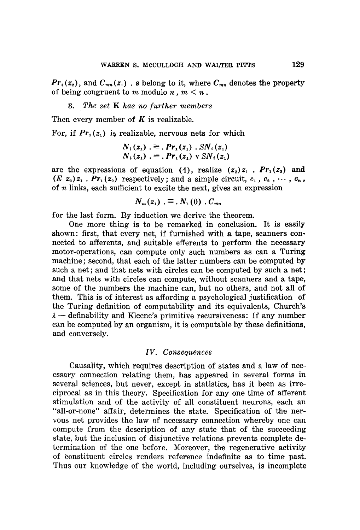$Pr_1(z_2)$ , and  $C_{mn}(z_1)$ . s belong to it, where  $C_{mn}$  denotes the property of being congruent to m modulo n,  $m < n$ .

*3. The set K has no further members* 

Then every member of  $K$  is realizable.

For, if  $Pr_1(z_1)$  is realizable, nervous nets for which

$$
N_i(z_1) := Pr_1(z_1) \cdot SN_i(z_1)
$$
  

$$
N_i(z_1) := Pr_1(z_1) \cdot SN_i(z_1)
$$

are the expressions of equation (4), realize  $(z_2)z_1$ .  $Pr_1(z_2)$  and  $(E z_2)z_1$ .  $Pr_1(z_2)$  respectively; and a simple circuit,  $c_1$ ,  $c_2$ ,  $\cdots$ ,  $c_n$ , of n links, each sufficient to excite the next, gives an expression

$$
N_m(z_1) \, . \equiv N_1(0) \, . \, C_{mn}
$$

for the last form. By induction we derive the theorem.

One more thing is to be remarked in conclusion. It is easily shown: first, that every net, if furnished with a tape, scanners connected to afferents, and suitable efferents to perform the necessary motor-operations, can compute only such numbers as can a Turing machine; second, that each of the latter numbers can be computed by such a net; and that nets with circles can be computed by such a net; and that nets with circles can compute, without scanners and a tape, some of the numbers the machine can, but no others, and not all of them. This is of interest as affording a psychological justification of the Turing definition of computability and its equivalents, Church's  $\lambda$  – definability and Kleene's primitive recursiveness: If any number can be computed by an organism, it is computable by these definitions, and conversely.

### *IV. Consequences*

Causality, which requires description of states and a law of necessary connection relating them, has appeared in several forms in several sciences, but never, except in statistics, has it been as irreciprocal as in this theory. Specification for any one time of afferent stimulation and of the activity of all constituent neurons, each an "all-or-none" affair, determines the state. Specification of the nervous net provides the law of necessary connection whereby one can compute from the description of any state that of the succeeding state, but the inclusion of disjunctive relations prevents complete determination of the one before. Moreover, the regenerative activity of Constituent circles renders reference indefinite as to time past. Thus our knowledge of the world, including ourselves, is incomplete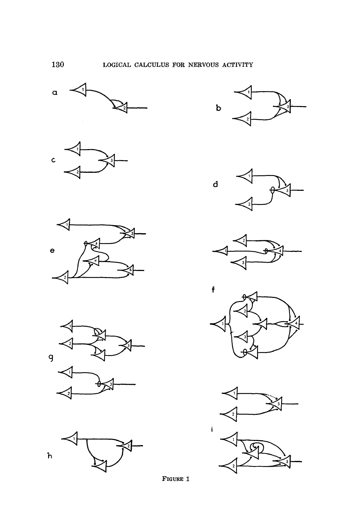



















FIGURE 1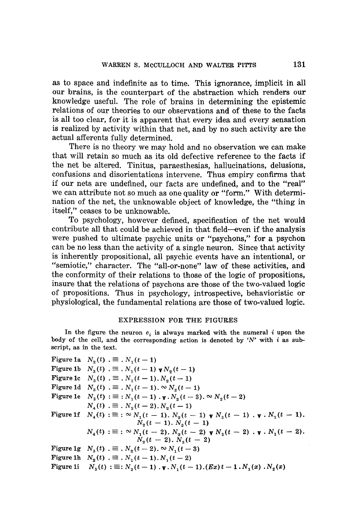as to space and indefinite as to time. This ignorance, implicit in all our brains, is the counterpart of the abstraction which renders our knowledge useful. The role of brains in determining the epistemic relations of our theories to our observations and of these to the facts is all too clear, for it is apparent that every idea and every sensation is realized by activity within that net, and by no such activity are the actual afferents fully determined.

There is no theory we may hold and no observation we can make that will retain so much as its old defective reference to the facts if the net be altered. Tinitus, paraestheaias, hallucinations, delusions, confusions and disorientations intervene. Thus empiry confirms that if our nets are undefined, our facts are undefined, and to the "real" we can attribute not so much as one quality or *"form."* With determination of the net, the unknowable object of knowledge, the "thing in itself," ceases to be unknowable.

To psychology, however defined, specification of the net would contribute all that could be achieved in that field—even if the analysis were pushed to ultimate psychic units or "psychons," for a psychon can be no less than the activity of a single neuron. Since that activity is inherently propositional, all psychic events have an intentional, or "semiotic," character. The "all-or-none" law of these activities, and the conformity of their relations to those of the logic of propositions, insure that the relations of psychons are those of the two-valued logic of propositions. Thus in psychology, introspective, behavioristic or physiological, the fundamental relations are those of two-valued logic.

#### EXPRESSION FOR THE FIGURES

In the figure the neuron  $c_i$  is always marked with the numeral i upon the body of the cell, and the corresponding action is denoted by 'N' with i as subscript, as in the text.

|           | Figure 1a $N2(t)$ . $\equiv$ . $N1(t-1)$                                                                   |
|-----------|------------------------------------------------------------------------------------------------------------|
|           | Figure 1b $N_3(t)$ . $\equiv N_1(t-1)$ $\sqrt{\mathbf{v} N_2(t-1)}$                                        |
|           | Figure 1c $N_3(t)$ . $\equiv$ $N_1(t-1)$ . $N_2(t-1)$                                                      |
|           | Figure 1d $N_2(t) = N_1(t-1) \approx N_2(t-1)$                                                             |
|           | Figure 1e $N_3(t) := N_1(t-1) \cdot \mathbf{v} \cdot N_2(t-3) \cdot N_2(t-2)$                              |
|           | $N_4(t)$ . $\equiv$ . $N_2(t-2)$ . $N_2(t-1)$                                                              |
|           | Figure 1f $N_4(t) := x \cdot N_1(t-1)$ . $N_2(t-1) \cdot N_3(t-1) \cdot \mathbf{v} \cdot N_1(t-1)$ .       |
|           | $N_{2}(t-1)$ . $N_{3}(t-1)$                                                                                |
|           | $N_4(t) :=: \mathbb{R} \times N_1(t-2)$ . $N_2(t-2) \cdot \mathbf{v} N_3(t-2) \cdot \mathbf{v} N_1(t-2)$ . |
|           | $N_2(t-2)$ . $N_3(t-2)$                                                                                    |
| Figure 1g | $N_1(t) \cdot \equiv N_2(t-2) \cdot \sim N_1(t-3)$                                                         |
|           | Figure 1h $N_2(t) = N_1(t-1) \cdot N_1(t-2)$                                                               |
|           | Figure 1i $N_3(t) := N_2(t-1) \cdot \mathbf{v} \cdot N_1(t-1) \cdot (Ex)t - 1 \cdot N_1(x) \cdot N_2(x)$   |
|           |                                                                                                            |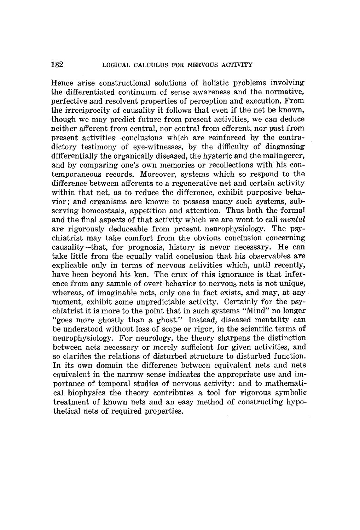Hence arise constructional solutions of holistic problems involving the, differentiated continuum of sense awareness and the normative, perfective and resolvent properties of perception and execution. From the irreciprocity of causality it follows that even if the net be known, though we may predict future from present activities, we can deduce neither afferent from central, nor central from efferent, nor past from present activities--conclusions which are reinforced by the contradictory testimony of eye-witnesses, by the difficulty of diagnosing differentially the organically diseased, the hysteric and the malingerer, and by comparing one's own memories or recollections with his contemporaneous records. Moreover, systems which so respond to the difference between afferents to a regenerative net and certain activity within that net, as to reduce the difference, exhibit purposive behavior; and organisms are known to possess many such systems, subserving homeostasis, appetition and attention. Thus both the formal and the final aspects of that activity which we are wont to call *mental*  are rigorously deduceable from present neurophysiology. The psychiatrist may take comfort from the obvious conclusion concerning causality--that, for prognosis, history is never necessary. He can take little from the equally valid conclusion that his observables are explicable only in terms of nervous activities which, until recently, have been beyond his ken. The crux of this ignorance is that inference from any sample of overt behavior to nervous nets is not unique, whereas, of imaginable nets, only one in fact exists, and may, at any moment, exhibit some unpredictable activity. Certainly for the psychiatrist it is more to the point that in such systems "Mind" no longer "goes more ghostly than a ghost." Instead, diseased mentality can be understood without loss of scope or rigor, in the scientific terms of neurophysiology. For neurology, the theory sharpens the distinction between nets necessary or merely sufficient for given activities, and so clarifies the relations of disturbed structure to disturbed function. In its own domain the difference between equivalent nets and nets equivalent in the narrow sense indicates the appropriate use and importance of temporal studies of nervous activity: and to mathematical biophysics the theory contributes a tool for rigorous symbolic treatment of known nets and an easy method of constructing hypothetical nets of required properties.